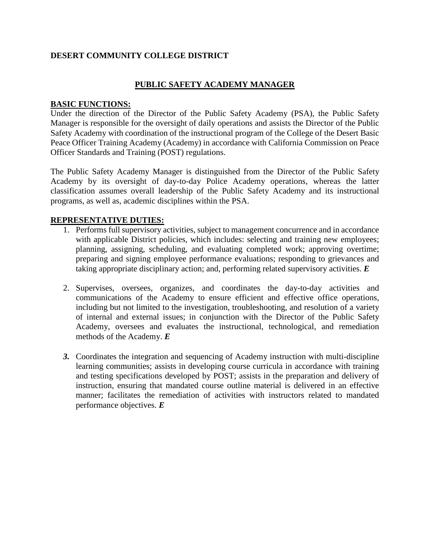# **DESERT COMMUNITY COLLEGE DISTRICT**

## **PUBLIC SAFETY ACADEMY MANAGER**

### **BASIC FUNCTIONS:**

Under the direction of the Director of the Public Safety Academy (PSA), the Public Safety Manager is responsible for the oversight of daily operations and assists the Director of the Public Safety Academy with coordination of the instructional program of the College of the Desert Basic Peace Officer Training Academy (Academy) in accordance with California Commission on Peace Officer Standards and Training (POST) regulations.

The Public Safety Academy Manager is distinguished from the Director of the Public Safety Academy by its oversight of day-to-day Police Academy operations, whereas the latter classification assumes overall leadership of the Public Safety Academy and its instructional programs, as well as, academic disciplines within the PSA.

### **REPRESENTATIVE DUTIES:**

- 1. Performs full supervisory activities, subject to management concurrence and in accordance with applicable District policies, which includes: selecting and training new employees; planning, assigning, scheduling, and evaluating completed work; approving overtime; preparing and signing employee performance evaluations; responding to grievances and taking appropriate disciplinary action; and, performing related supervisory activities. *E*
- 2. Supervises, oversees, organizes, and coordinates the day-to-day activities and communications of the Academy to ensure efficient and effective office operations, including but not limited to the investigation, troubleshooting, and resolution of a variety of internal and external issues; in conjunction with the Director of the Public Safety Academy, oversees and evaluates the instructional, technological, and remediation methods of the Academy. *E*
- *3.* Coordinates the integration and sequencing of Academy instruction with multi-discipline learning communities; assists in developing course curricula in accordance with training and testing specifications developed by POST; assists in the preparation and delivery of instruction, ensuring that mandated course outline material is delivered in an effective manner; facilitates the remediation of activities with instructors related to mandated performance objectives. *E*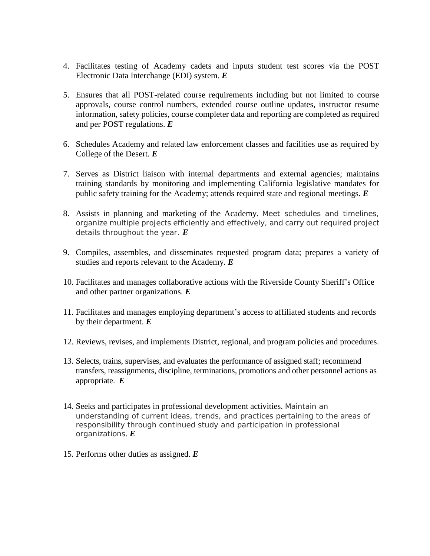- 4. Facilitates testing of Academy cadets and inputs student test scores via the POST Electronic Data Interchange (EDI) system. *E*
- 5. Ensures that all POST-related course requirements including but not limited to course approvals, course control numbers, extended course outline updates, instructor resume information, safety policies, course completer data and reporting are completed as required and per POST regulations. *E*
- 6. Schedules Academy and related law enforcement classes and facilities use as required by College of the Desert. *E*
- 7. Serves as District liaison with internal departments and external agencies; maintains training standards by monitoring and implementing California legislative mandates for public safety training for the Academy; attends required state and regional meetings. *E*
- 8. Assists in planning and marketing of the Academy. Meet schedules and timelines, organize multiple projects efficiently and effectively, and carry out required project details throughout the year. *E*
- 9. Compiles, assembles, and disseminates requested program data; prepares a variety of studies and reports relevant to the Academy. *E*
- 10. Facilitates and manages collaborative actions with the Riverside County Sheriff's Office and other partner organizations. *E*
- 11. Facilitates and manages employing department's access to affiliated students and records by their department. *E*
- 12. Reviews, revises, and implements District, regional, and program policies and procedures.
- 13. Selects, trains, supervises, and evaluates the performance of assigned staff; recommend transfers, reassignments, discipline, terminations, promotions and other personnel actions as appropriate. *E*
- 14. Seeks and participates in professional development activities. Maintain an understanding of current ideas, trends, and practices pertaining to the areas of responsibility through continued study and participation in professional organizations. *E*
- 15. Performs other duties as assigned. *E*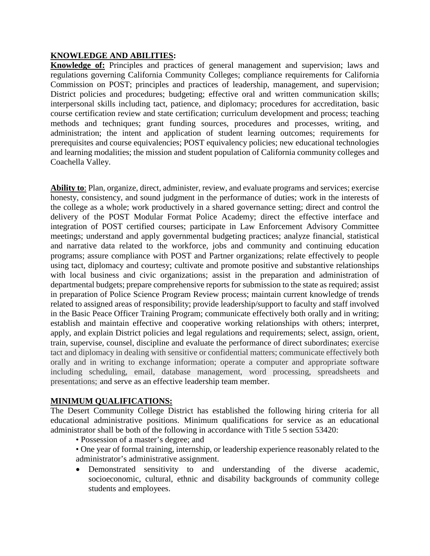## **KNOWLEDGE AND ABILITIES:**

**Knowledge of:** Principles and practices of general management and supervision; laws and regulations governing California Community Colleges; compliance requirements for California Commission on POST; principles and practices of leadership, management, and supervision; District policies and procedures; budgeting; effective oral and written communication skills; interpersonal skills including tact, patience, and diplomacy; procedures for accreditation, basic course certification review and state certification; curriculum development and process; teaching methods and techniques; grant funding sources, procedures and processes, writing, and administration; the intent and application of student learning outcomes; requirements for prerequisites and course equivalencies; POST equivalency policies; new educational technologies and learning modalities; the mission and student population of California community colleges and Coachella Valley.

**Ability to**: Plan, organize, direct, administer, review, and evaluate programs and services; exercise honesty, consistency, and sound judgment in the performance of duties; work in the interests of the college as a whole; work productively in a shared governance setting; direct and control the delivery of the POST Modular Format Police Academy; direct the effective interface and integration of POST certified courses; participate in Law Enforcement Advisory Committee meetings; understand and apply governmental budgeting practices; analyze financial, statistical and narrative data related to the workforce, jobs and community and continuing education programs; assure compliance with POST and Partner organizations; relate effectively to people using tact, diplomacy and courtesy; cultivate and promote positive and substantive relationships with local business and civic organizations; assist in the preparation and administration of departmental budgets; prepare comprehensive reports for submission to the state as required; assist in preparation of Police Science Program Review process; maintain current knowledge of trends related to assigned areas of responsibility; provide leadership/support to faculty and staff involved in the Basic Peace Officer Training Program; communicate effectively both orally and in writing; establish and maintain effective and cooperative working relationships with others; interpret, apply, and explain District policies and legal regulations and requirements; select, assign, orient, train, supervise, counsel, discipline and evaluate the performance of direct subordinates; exercise tact and diplomacy in dealing with sensitive or confidential matters; communicate effectively both orally and in writing to exchange information; operate a computer and appropriate software including scheduling, email, database management, word processing, spreadsheets and presentations; and serve as an effective leadership team member.

#### **MINIMUM QUALIFICATIONS:**

The Desert Community College District has established the following hiring criteria for all educational administrative positions. Minimum qualifications for service as an educational administrator shall be both of the following in accordance with Title 5 section 53420:

- Possession of a master's degree; and
- One year of formal training, internship, or leadership experience reasonably related to the administrator's administrative assignment.
- Demonstrated sensitivity to and understanding of the diverse academic, socioeconomic, cultural, ethnic and disability backgrounds of community college students and employees.